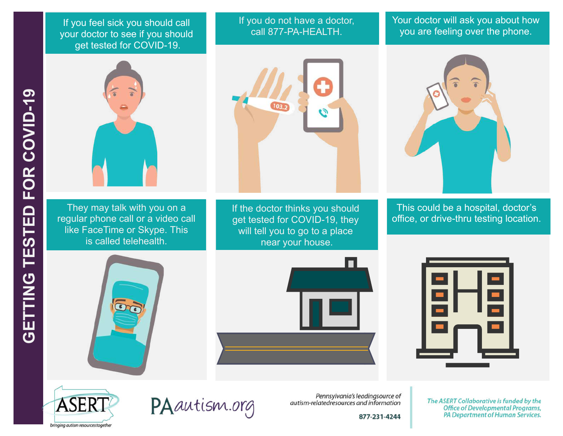If you feel sick you should call your doctor to see if you should get tested for COVID-19.



They may talk with you on a regular phone call or a video call like FaceTime or Skype. This is called telehealth.



If you do not have a doctor,

If the doctor thinks you should get tested for COVID-19, they will tell you to go to a place near your house.

Your doctor will ask you about how you are feeling over the phone.



This could be a hospital, doctor's office, or drive-thru testing location.









PAautism.org

Pennsylvania's leadingsource of autism-relatedresources and information

877-231-4244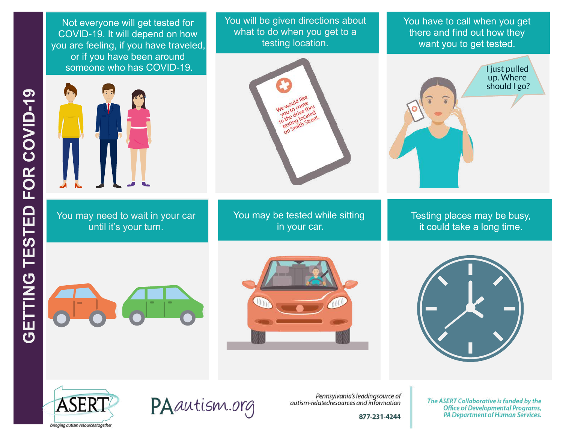Not everyone will get tested for COVID-19. It will depend on how you are feeling, if you have traveled, or if you have been around someone who has COVID-19.



You may need to wait in your car until it's your turn.

You will be given directions about what to do when you get to a testing location.

> e would com d located locateet.

You may be tested while sitting in your car.

You have to call when you get there and find out how they want you to get tested.



Testing places may be busy, it could take a long time.











Pennsylvania's leadingsource of autism-relatedresources and information

877-231-4244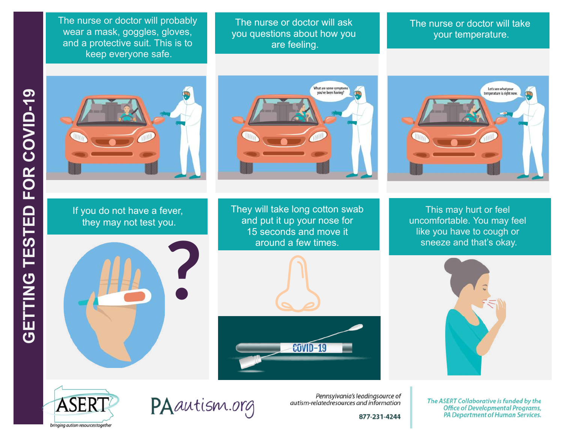The nurse or doctor will probably wear a mask, goggles, gloves, and a protective suit. This is to keep everyone safe.

The nurse or doctor will ask you questions about how you are feeling.

What are some symptoms<br>you've been having?

## The nurse or doctor will take your temperature.



If you do not have a fever, they may not test you.



They will take long cotton swab and put it up your nose for 15 seconds and move it around a few times.



Let's see what your temperature is right now

> This may hurt or feel uncomfortable. You may feel like you have to cough or sneeze and that's okay.





PAautism.org

Pennsylvania's leadingsource of autism-relatedresources and information

877-231-4244